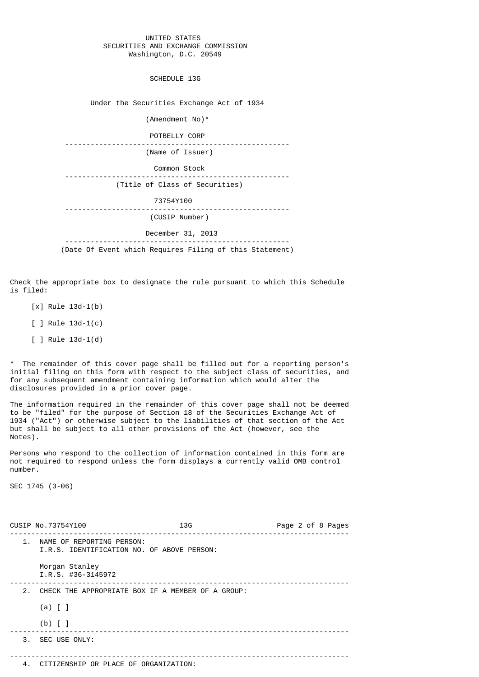## UNITED STATES SECURITIES AND EXCHANGE COMMISSION Washington, D.C. 20549

SCHEDULE 13G

Under the Securities Exchange Act of 1934

 (Amendment No)\* POTBELLY CORP<br>---------------------------------- ----------------------------------------------------- (Name of Issuer) Common Stock ----------------------------------------------------- (Title of Class of Securities) 73754Y100 ----------------------------------------------------- (CUSIP Number) December 31, 2013 -----------------------------------------------------

(Date Of Event which Requires Filing of this Statement)

Check the appropriate box to designate the rule pursuant to which this Schedule is filed:

- [x] Rule 13d-1(b)
- $\lceil$   $\rceil$  Rule 13d-1(c)
- $[ ]$  Rule 13d-1(d)

\* The remainder of this cover page shall be filled out for a reporting person's initial filing on this form with respect to the subject class of securities, and for any subsequent amendment containing information which would alter the disclosures provided in a prior cover page.

The information required in the remainder of this cover page shall not be deemed to be "filed" for the purpose of Section 18 of the Securities Exchange Act of 1934 ("Act") or otherwise subject to the liabilities of that section of the Act but shall be subject to all other provisions of the Act (however, see the Notes).

Persons who respond to the collection of information contained in this form are not required to respond unless the form displays a currently valid OMB control number.

SEC 1745 (3-06)

|       | CUSIP No.73754Y100                                                      | 13G | Page 2 of 8 Pages |
|-------|-------------------------------------------------------------------------|-----|-------------------|
| $1$ . | NAME OF REPORTING PERSON:<br>I.R.S. IDENTIFICATION NO. OF ABOVE PERSON: |     |                   |
|       | Morgan Stanley<br>$I.R.S.$ #36-3145972                                  |     |                   |
| 2.    | CHECK THE APPROPRIATE BOX IF A MEMBER OF A GROUP:                       |     |                   |
|       | $(a)$ $[$ $]$                                                           |     |                   |
|       | $(b)$ [ ]                                                               |     |                   |
|       | 3. SEC USE ONLY:                                                        |     |                   |
|       |                                                                         |     |                   |
| 4.    | CITIZENSHIP OR PLACE OF ORGANIZATION:                                   |     |                   |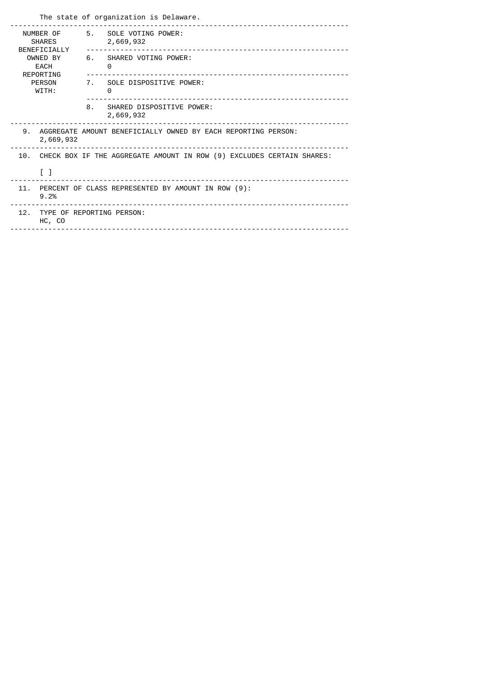| The state of organization is Delaware.                                    |                                                               |                                           |  |  |
|---------------------------------------------------------------------------|---------------------------------------------------------------|-------------------------------------------|--|--|
| NUMBER OF<br><b>SHARES</b><br><b>BENEETCTALLY</b>                         |                                                               | 5. SOLE VOTING POWER:<br>2,669,932        |  |  |
| OWNED BY<br><b>EACH</b><br>REPORTING                                      |                                                               | 6. SHARED VOTING POWER:<br>0              |  |  |
| <b>PERSON</b><br>WITH:                                                    |                                                               | 7. SOLE DISPOSITIVE POWER:<br>0           |  |  |
|                                                                           |                                                               | 8. SHARED DISPOSITIVE POWER:<br>2,669,932 |  |  |
| 9.<br>2,669,932                                                           | AGGREGATE AMOUNT BENEFICIALLY OWNED BY EACH REPORTING PERSON: |                                           |  |  |
| 10. CHECK BOX IF THE AGGREGATE AMOUNT IN ROW (9) EXCLUDES CERTAIN SHARES: |                                                               |                                           |  |  |
| 11.<br>9.2%                                                               | PERCENT OF CLASS REPRESENTED BY AMOUNT IN ROW (9):            |                                           |  |  |
| HC, CO                                                                    | 12. TYPE OF REPORTING PERSON:                                 |                                           |  |  |
|                                                                           |                                                               |                                           |  |  |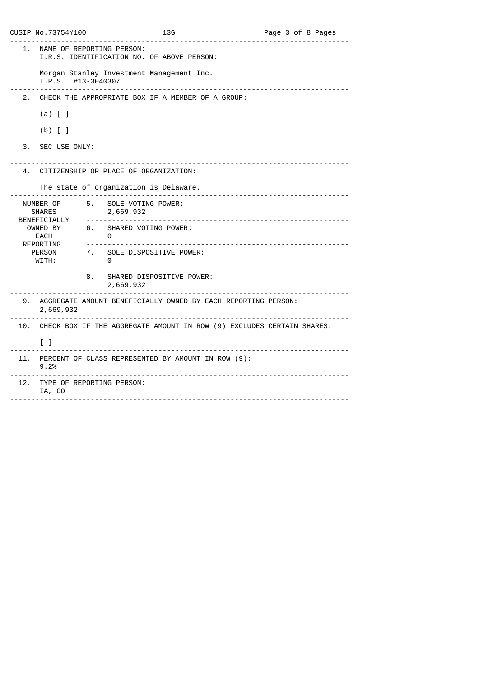|                                                                                  | CUSIP No.73754Y100                                                      |    |                                 | 13G                       |                                                                                                | Page 3 of 8 Pages                                                     |
|----------------------------------------------------------------------------------|-------------------------------------------------------------------------|----|---------------------------------|---------------------------|------------------------------------------------------------------------------------------------|-----------------------------------------------------------------------|
| 1.                                                                               | NAME OF REPORTING PERSON:<br>I.R.S. IDENTIFICATION NO. OF ABOVE PERSON: |    |                                 |                           |                                                                                                |                                                                       |
|                                                                                  | Morgan Stanley Investment Management Inc.<br>$I.R.S.$ #13-3040307       |    |                                 |                           |                                                                                                |                                                                       |
| 2.                                                                               |                                                                         |    |                                 |                           | CHECK THE APPROPRIATE BOX IF A MEMBER OF A GROUP:                                              |                                                                       |
|                                                                                  | $(a)$ $[$ $]$                                                           |    |                                 |                           |                                                                                                |                                                                       |
|                                                                                  | $(b)$ $[$ $]$                                                           |    |                                 |                           |                                                                                                |                                                                       |
|                                                                                  | 3. SEC USE ONLY:                                                        |    |                                 |                           |                                                                                                |                                                                       |
| __________________________<br>CITIZENSHIP OR PLACE OF ORGANIZATION:<br>4.        |                                                                         |    |                                 |                           |                                                                                                |                                                                       |
|                                                                                  | The state of organization is Delaware.                                  |    |                                 |                           |                                                                                                |                                                                       |
|                                                                                  | NUMBER OF 5. SOLE VOTING POWER:<br><b>SHARES</b>                        |    | 2,669,932                       |                           |                                                                                                |                                                                       |
| BENEFICIALLY ---------------<br>OWNED BY<br>EACH<br>REPORTING<br>PERSON<br>WITH: |                                                                         |    | 6. SHARED VOTING POWER:<br>0    |                           |                                                                                                |                                                                       |
|                                                                                  |                                                                         |    | 7. SOLE DISPOSITIVE POWER:<br>0 |                           |                                                                                                |                                                                       |
|                                                                                  |                                                                         | 8. | .<br>2,669,932                  | SHARED DISPOSITIVE POWER: |                                                                                                |                                                                       |
| 9.                                                                               | 2,669,932                                                               |    |                                 |                           | AGGREGATE AMOUNT BENEFICIALLY OWNED BY EACH REPORTING PERSON:                                  |                                                                       |
| 10.                                                                              |                                                                         |    |                                 |                           |                                                                                                | CHECK BOX IF THE AGGREGATE AMOUNT IN ROW (9) EXCLUDES CERTAIN SHARES: |
|                                                                                  | $\begin{bmatrix} 1 \end{bmatrix}$                                       |    |                                 |                           |                                                                                                |                                                                       |
|                                                                                  | 9.2%                                                                    |    |                                 |                           | ------------------------------------<br>11. PERCENT OF CLASS REPRESENTED BY AMOUNT IN ROW (9): |                                                                       |
|                                                                                  | 12. TYPE OF REPORTING PERSON:<br>IA, CO                                 |    |                                 |                           |                                                                                                |                                                                       |
|                                                                                  |                                                                         |    |                                 |                           |                                                                                                |                                                                       |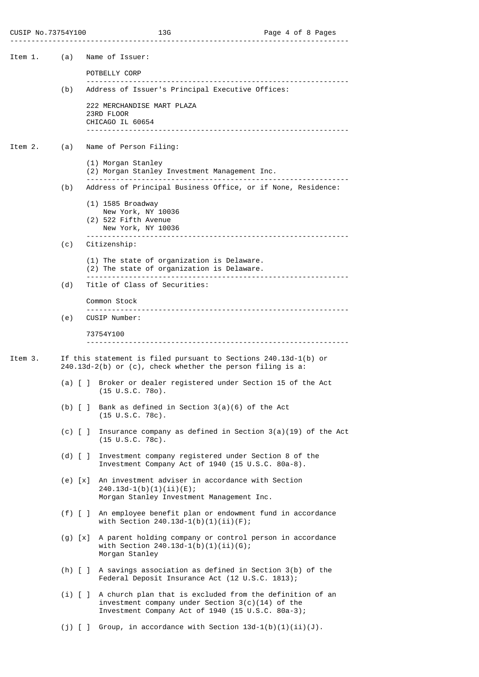| CUSIP No.73754Y100 |               | 13G                                                                                                                               | Page 4 of 8 Pages                                                 |
|--------------------|---------------|-----------------------------------------------------------------------------------------------------------------------------------|-------------------------------------------------------------------|
| Item 1.            | (a)           | Name of Issuer:                                                                                                                   |                                                                   |
|                    |               | POTBELLY CORP                                                                                                                     |                                                                   |
|                    | (b)           | Address of Issuer's Principal Executive Offices:                                                                                  |                                                                   |
|                    |               | 222 MERCHANDISE MART PLAZA<br>23RD FLOOR<br>CHICAGO IL 60654                                                                      |                                                                   |
| Item 2.            | (a)           | Name of Person Filing:                                                                                                            |                                                                   |
|                    |               | (1) Morgan Stanley<br>(2) Morgan Stanley Investment Management Inc.                                                               |                                                                   |
|                    | (b)           |                                                                                                                                   | Address of Principal Business Office, or if None, Residence:      |
|                    |               | $(1)$ 1585 Broadway<br>New York, NY 10036<br>(2) 522 Fifth Avenue<br>New York, NY 10036                                           |                                                                   |
|                    | (c)           | Citizenship:                                                                                                                      |                                                                   |
|                    |               | (1) The state of organization is Delaware.<br>(2) The state of organization is Delaware.                                          |                                                                   |
|                    | (d)           | Title of Class of Securities:                                                                                                     |                                                                   |
|                    |               | Common Stock                                                                                                                      |                                                                   |
|                    | (e)           | CUSIP Number:                                                                                                                     |                                                                   |
|                    |               | 73754Y100                                                                                                                         |                                                                   |
| Item 3.            |               | If this statement is filed pursuant to Sections $240.13d-1(b)$ or<br>$240.13d-2(b)$ or (c), check whether the person filing is a: |                                                                   |
|                    | (a)           | $(15 \text{ U.S.C. } 780)$ .                                                                                                      | Broker or dealer registered under Section 15 of the Act           |
|                    | $(b)$ $[$ $]$ | Bank as defined in Section $3(a)(6)$ of the Act<br>$(15 \cup S.C. 78c)$ .                                                         |                                                                   |
|                    | $(c)$ [ ]     | $(15 \tU.S.C. 78c).$                                                                                                              | Insurance company as defined in Section $3(a)(19)$ of the Act     |
|                    | $(d)$ $[$ $]$ | Investment company registered under Section 8 of the<br>Investment Company Act of 1940 (15 U.S.C. 80a-8).                         |                                                                   |
|                    | $(e)$ $[x]$   | An investment adviser in accordance with Section<br>$240.13d-1(b)(1)(ii)(E);$<br>Morgan Stanley Investment Management Inc.        |                                                                   |
|                    |               | with Section 240.13d-1(b)(1)(ii)(F);                                                                                              | (f) [ ] An employee benefit plan or endowment fund in accordance  |
|                    | $(g)$ $[x]$   | with Section $240.13d-1(b)(1)(ii)(G);$<br>Morgan Stanley                                                                          | A parent holding company or control person in accordance          |
|                    |               | Federal Deposit Insurance Act (12 U.S.C. 1813);                                                                                   | (h) $[ ]$ A savings association as defined in Section 3(b) of the |
|                    |               | investment company under Section $3(c)(14)$ of the<br>Investment Company Act of 1940 (15 U.S.C. 80a-3);                           | (i) [ ] A church plan that is excluded from the definition of an  |
|                    |               | (j) $[ ]$ Group, in accordance with Section 13d-1(b)(1)(ii)(J).                                                                   |                                                                   |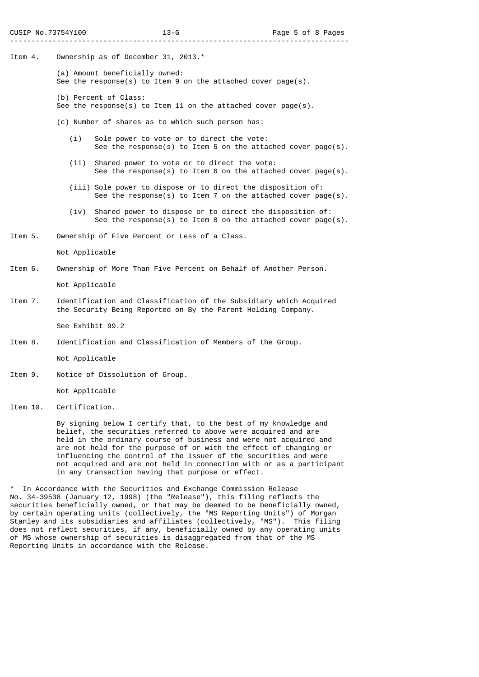- Item 4. Ownership as of December 31, 2013.\*
	- (a) Amount beneficially owned: See the response(s) to Item 9 on the attached cover page(s).
	- (b) Percent of Class: See the response(s) to Item 11 on the attached cover page(s).
	- (c) Number of shares as to which such person has:
		- (i) Sole power to vote or to direct the vote: See the response(s) to Item 5 on the attached cover page(s).
		- (ii) Shared power to vote or to direct the vote: See the response(s) to Item 6 on the attached cover page(s).
		- (iii) Sole power to dispose or to direct the disposition of: See the response(s) to Item 7 on the attached cover page(s).
		- (iv) Shared power to dispose or to direct the disposition of: See the response(s) to Item 8 on the attached cover page(s).
- Item 5. Ownership of Five Percent or Less of a Class.
	- Not Applicable
- Item 6. Ownership of More Than Five Percent on Behalf of Another Person.

Not Applicable

Item 7. Identification and Classification of the Subsidiary which Acquired the Security Being Reported on By the Parent Holding Company.

See Exhibit 99.2

Item 8. Identification and Classification of Members of the Group.

Not Applicable

Item 9. Notice of Dissolution of Group.

Not Applicable

Item 10. Certification.

 By signing below I certify that, to the best of my knowledge and belief, the securities referred to above were acquired and are held in the ordinary course of business and were not acquired and are not held for the purpose of or with the effect of changing or influencing the control of the issuer of the securities and were not acquired and are not held in connection with or as a participant in any transaction having that purpose or effect.

\* In Accordance with the Securities and Exchange Commission Release No. 34-39538 (January 12, 1998) (the "Release"), this filing reflects the securities beneficially owned, or that may be deemed to be beneficially owned, by certain operating units (collectively, the "MS Reporting Units") of Morgan Stanley and its subsidiaries and affiliates (collectively, "MS"). This filing does not reflect securities, if any, beneficially owned by any operating units of MS whose ownership of securities is disaggregated from that of the MS Reporting Units in accordance with the Release.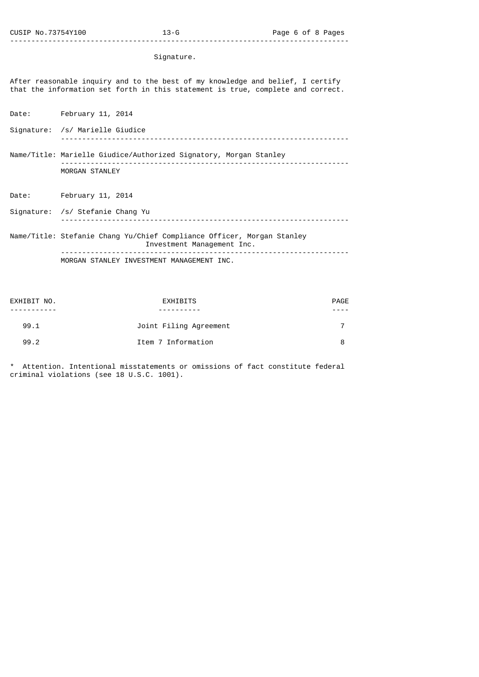## Signature.

After reasonable inquiry and to the best of my knowledge and belief, I certify that the information set forth in this statement is true, complete and correct.

Date: February 11, 2014

Signature: /s/ Marielle Giudice -------------------------------------------------------------------- Name/Title: Marielle Giudice/Authorized Signatory, Morgan Stanley -------------------------------------------------------------------- MORGAN STANLEY Date: February 11, 2014 Signature: /s/ Stefanie Chang Yu --------------------------------------------------------------------

Name/Title: Stefanie Chang Yu/Chief Compliance Officer, Morgan Stanley Investment Management Inc. -------------------------------------------------------------------- MORGAN STANLEY INVESTMENT MANAGEMENT INC.

| EXHIBIT NO. | EXHIBITS               | PAGE |  |
|-------------|------------------------|------|--|
|             |                        |      |  |
| 99.1        | Joint Filing Agreement |      |  |
| 99.2        | Item 7 Information     |      |  |

Attention. Intentional misstatements or omissions of fact constitute federal criminal violations (see 18 U.S.C. 1001).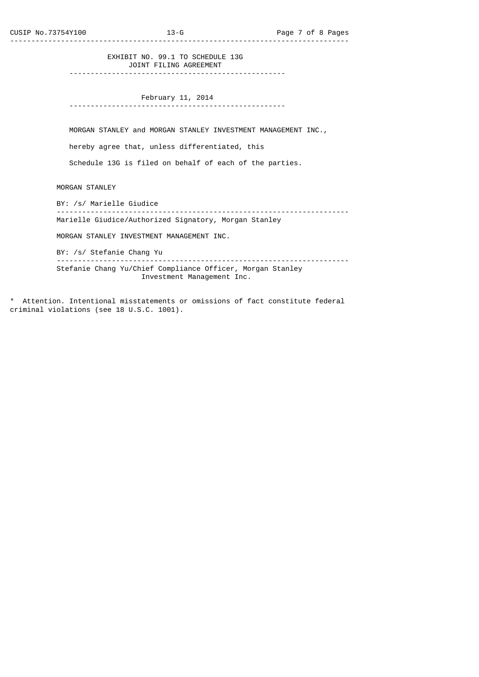## EXHIBIT NO. 99.1 TO SCHEDULE 13G JOINT FILING AGREEMENT

---------------------------------------------------

 February 11, 2014 ---------------------------------------------------

 MORGAN STANLEY and MORGAN STANLEY INVESTMENT MANAGEMENT INC., hereby agree that, unless differentiated, this Schedule 13G is filed on behalf of each of the parties.

MORGAN STANLEY

 BY: /s/ Marielle Giudice --------------------------------------------------------------------- Marielle Giudice/Authorized Signatory, Morgan Stanley

MORGAN STANLEY INVESTMENT MANAGEMENT INC.

 BY: /s/ Stefanie Chang Yu --------------------------------------------------------------------- Stefanie Chang Yu/Chief Compliance Officer, Morgan Stanley Investment Management Inc.

\* Attention. Intentional misstatements or omissions of fact constitute federal criminal violations (see 18 U.S.C. 1001).